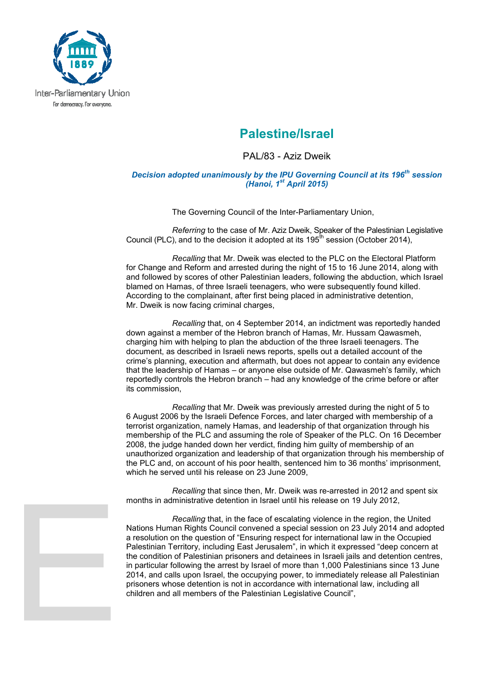

## **Palestine/Israel**

PAL/83 - Aziz Dweik

## *Decision adopted unanimously by the IPU Governing Council at its 196th session (Hanoi, 1st April 2015)*

The Governing Council of the Inter-Parliamentary Union,

*Referring* to the case of Mr. Aziz Dweik, Speaker of the Palestinian Legislative Council (PLC), and to the decision it adopted at its  $195<sup>th</sup>$  session (October 2014),

*Recalling* that Mr. Dweik was elected to the PLC on the Electoral Platform for Change and Reform and arrested during the night of 15 to 16 June 2014, along with and followed by scores of other Palestinian leaders, following the abduction, which Israel blamed on Hamas, of three Israeli teenagers, who were subsequently found killed. According to the complainant, after first being placed in administrative detention, Mr. Dweik is now facing criminal charges,

*Recalling* that, on 4 September 2014, an indictment was reportedly handed down against a member of the Hebron branch of Hamas, Mr. Hussam Qawasmeh, charging him with helping to plan the abduction of the three Israeli teenagers. The document, as described in Israeli news reports, spells out a detailed account of the crime's planning, execution and aftermath, but does not appear to contain any evidence that the leadership of Hamas – or anyone else outside of Mr. Qawasmeh's family, which reportedly controls the Hebron branch – had any knowledge of the crime before or after its commission,

*Recalling* that Mr. Dweik was previously arrested during the night of 5 to 6 August 2006 by the Israeli Defence Forces, and later charged with membership of a terrorist organization, namely Hamas, and leadership of that organization through his membership of the PLC and assuming the role of Speaker of the PLC. On 16 December 2008, the judge handed down her verdict, finding him guilty of membership of an unauthorized organization and leadership of that organization through his membership of the PLC and, on account of his poor health, sentenced him to 36 months' imprisonment, which he served until his release on 23 June 2009,

*Recalling* that since then, Mr. Dweik was re-arrested in 2012 and spent six months in administrative detention in Israel until his release on 19 July 2012,

*Recalling* that, in the face of escalating violence in the region, the United Nations Human Rights Council convened a special session on 23 July 2014 and adopted a resolution on the question of "Ensuring respect for international law in the Occupied Palestinian Territory, including East Jerusalem", in which it expressed "deep concern at the condition of Palestinian prisoners and detainees in Israeli jails and detention centres, in particular following the arrest by Israel of more than 1,000 Palestinians since 13 June 2014, and calls upon Israel, the occupying power, to immediately release all Palestinian prisoners whose detention is not in accordance with international law, including all children and all members of the Palestinian Legislative Council",